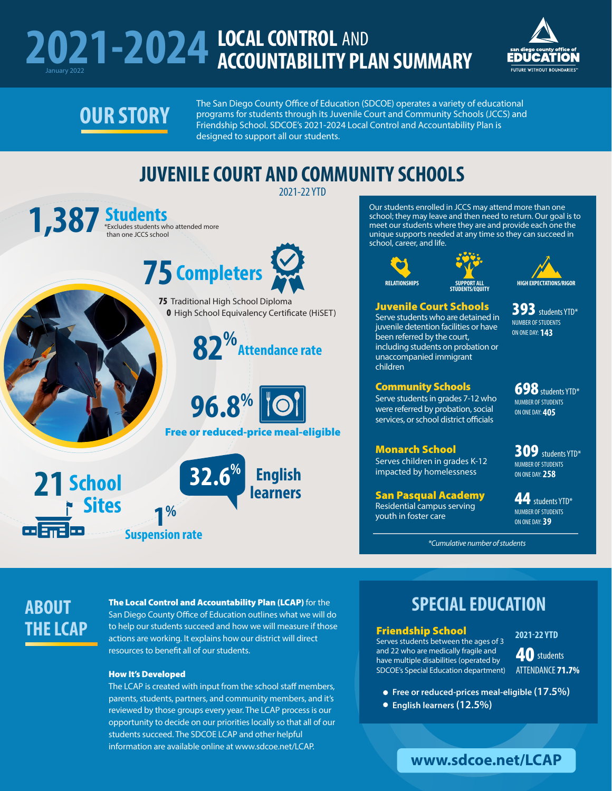### **2021-2024** LOCAL CONTROL **ACCOUNTABILITY PLAN SUMMARY**  AND



## **OUR STORY**

The San Diego County Office of Education (SDCOE) operates a variety of educational programs for students through its Juvenile Court and Community Schools (JCCS) and Friendship School. SDCOE's 2021-2024 Local Control and Accountability Plan is designed to support all our students.

### **JUVENILE COURT AND COMMUNITY SCHOOLS**

2021-22 YTD than one JCCS school **1,387 Students** \*Excludes students who attended more  **75 Completers 75** Traditional High School Diploma 0 High School Equivalency Certificate (HiSET) **82%Attendance rate 96.8%** Free or reduced-price meal-eligible **32.6% English 21 School learners Sites 1%** <u>co smales</u> **Suspension rate**

Our students enrolled in JCCS may attend more than one school; they may leave and then need to return. Our goal is to meet our students where they are and provide each one the unique supports needed at any time so they can succeed in school, career, and life.







#### Juvenile Court Schools

Serve students who are detained in juvenile detention facilities or have been referred by the court, including students on probation or unaccompanied immigrant children

#### Community Schools

Serve students in grades 7-12 who were referred by probation, social services, or school district officials

#### Monarch School

Serves children in grades K-12 impacted by homelessness

San Pasqual Academy Residential campus serving youth in foster care

698 students YTD\* NUMBER OF STUDENTS ON ONE DAY: **405**

309 students YTD\* NUMBER OF STUDENTS ON ONE DAY: **258**

44 students YTD\* NUMBER OF STUDENTS ON ONE DAY: **39**

*\*Cumulative number of students*

### **ABOUT THE LCAP**

#### The Local Control and Accountability Plan (LCAP) for the

San Diego County Office of Education outlines what we will do to help our students succeed and how we will measure if those actions are working. It explains how our district will direct resources to benefit all of our students.

#### How It's Developed

The LCAP is created with input from the school staff members, parents, students, partners, and community members, and it's reviewed by those groups every year. The LCAP process is our opportunity to decide on our priorities locally so that all of our students succeed. The SDCOE LCAP and other helpful information are available online at www.sdcoe.net/LCAP.

### **SPECIAL EDUCATION**

Friendship School

Serves students between the ages of 3 and 22 who are medically fragile and have multiple disabilities (operated by SDCOE's Special Education department)

**2021-22 YTD**

**40** students ATTENDANCE 71.7%

**Free or reduced-prices meal-eligible (17.5%)** 

**English learners (12.5%)** 

393 students YTD\* NUMBER OF STUDENTS ON ONE DAY: **143**